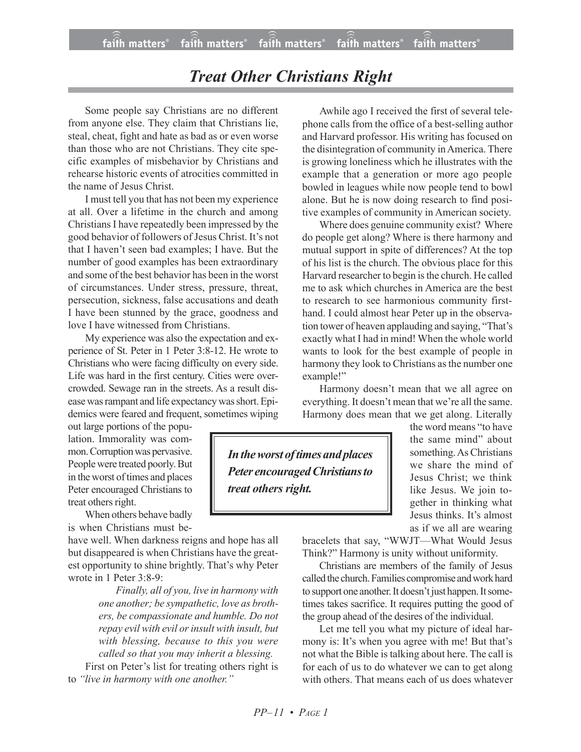## *Treat Other Christians Right*

Some people say Christians are no different from anyone else. They claim that Christians lie, steal, cheat, fight and hate as bad as or even worse than those who are not Christians. They cite specific examples of misbehavior by Christians and rehearse historic events of atrocities committed in the name of Jesus Christ.

I must tell you that has not been my experience at all. Over a lifetime in the church and among Christians I have repeatedly been impressed by the good behavior of followers of Jesus Christ. It's not that I haven't seen bad examples; I have. But the number of good examples has been extraordinary and some of the best behavior has been in the worst of circumstances. Under stress, pressure, threat, persecution, sickness, false accusations and death I have been stunned by the grace, goodness and love I have witnessed from Christians.

My experience was also the expectation and experience of St. Peter in 1 Peter 3:8-12. He wrote to Christians who were facing difficulty on every side. Life was hard in the first century. Cities were overcrowded. Sewage ran in the streets. As a result disease was rampant and life expectancy was short. Epidemics were feared and frequent, sometimes wiping

out large portions of the population. Immorality was common.Corruption was pervasive. People were treated poorly. But in the worst of times and places Peter encouraged Christians to treat others right.

When others behave badly is when Christians must be-

have well. When darkness reigns and hope has all but disappeared is when Christians have the greatest opportunity to shine brightly. That's why Peter wrote in 1 Peter 3:8-9:

> *Finally, all of you, live in harmony with one another; be sympathetic, love as brothers, be compassionate and humble. Do not repay evil with evil orinsult with insult, but with blessing, because to this you were called so that you may inherit a blessing.*

First on Peter's list for treating others right is to *"live in harmony with one another."*

Awhile ago I received the first of several telephone calls from the office of a best-selling author and Harvard professor. His writing has focused on the disintegration of community inAmerica. There is growing loneliness which he illustrates with the example that a generation or more ago people bowled in leagues while now people tend to bowl alone. But he is now doing research to find positive examples of community in American society.

Where does genuine community exist? Where do people get along? Where is there harmony and mutual support in spite of differences? At the top of his list is the church. The obvious place for this Harvard researcher to begin is the church. He called me to ask which churches in America are the best to research to see harmonious community firsthand. I could almost hear Peter up in the observation tower of heaven applauding and saying, "That's exactly what I had in mind! When the whole world wants to look for the best example of people in harmony they look to Christians as the number one example!"

Harmony doesn't mean that we all agree on everything. It doesn't mean that we're all the same. Harmony does mean that we get along. Literally

*Intheworst oftimes and places Peter encouragedChristians to treat others right.*

the word means "to have the same mind" about something. As Christians we share the mind of Jesus Christ; we think like Jesus. We join together in thinking what Jesus thinks. It's almost as if we all are wearing

bracelets that say, "WWJT—What Would Jesus Think?" Harmony is unity without uniformity.

Christians are members of the family of Jesus called the church. Families compromise andwork hard to support one another. It doesn't just happen. It sometimes takes sacrifice. It requires putting the good of the group ahead of the desires of the individual.

Let me tell you what my picture of ideal harmony is: It's when you agree with me! But that's not what the Bible is talking about here. The call is for each of us to do whatever we can to get along with others. That means each of us does whatever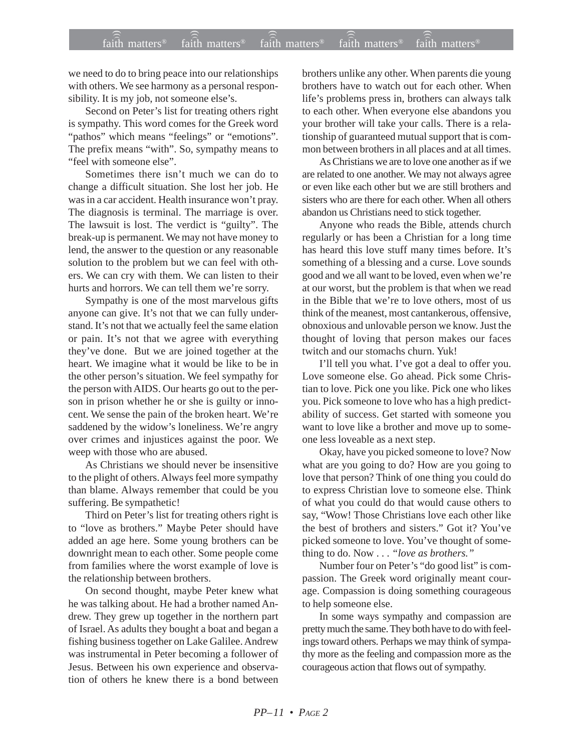we need to do to bring peace into our relationships with others. We see harmony as a personal responsibility. It is my job, not someone else's.

Second on Peter's list for treating others right is sympathy. This word comes for the Greek word "pathos" which means "feelings" or "emotions". The prefix means "with". So, sympathy means to "feel with someone else".

Sometimes there isn't much we can do to change a difficult situation. She lost her job. He was in a car accident. Health insurance won't pray. The diagnosis is terminal. The marriage is over. The lawsuit is lost. The verdict is "guilty". The break-up is permanent. We may not have money to lend, the answer to the question or any reasonable solution to the problem but we can feel with others. We can cry with them. We can listen to their hurts and horrors. We can tell them we're sorry.

Sympathy is one of the most marvelous gifts anyone can give. It's not that we can fully understand. It's not that we actually feel the same elation or pain. It's not that we agree with everything they've done. But we are joined together at the heart. We imagine what it would be like to be in the other person's situation. We feel sympathy for the person with AIDS. Our hearts go out to the person in prison whether he or she is guilty or innocent. We sense the pain of the broken heart. We're saddened by the widow's loneliness. We're angry over crimes and injustices against the poor. We weep with those who are abused.

As Christians we should never be insensitive to the plight of others. Always feel more sympathy than blame. Always remember that could be you suffering. Be sympathetic!

Third on Peter's list for treating others right is to "love as brothers." Maybe Peter should have added an age here. Some young brothers can be downright mean to each other. Some people come from families where the worst example of love is the relationship between brothers.

On second thought, maybe Peter knew what he was talking about. He had a brother named Andrew. They grew up together in the northern part of Israel. As adults they bought a boat and began a fishing business together on Lake Galilee. Andrew was instrumental in Peter becoming a follower of Jesus. Between his own experience and observation of others he knew there is a bond between brothers unlike any other. When parents die young brothers have to watch out for each other. When life's problems press in, brothers can always talk to each other. When everyone else abandons you your brother will take your calls. There is a relationship of guaranteed mutual support that is common between brothers in all places and at all times.

As Christians we are to love one another as if we are related to one another. We may not always agree or even like each other but we are still brothers and sisters who are there for each other. When all others abandon us Christians need to stick together.

Anyone who reads the Bible, attends church regularly or has been a Christian for a long time has heard this love stuff many times before. It's something of a blessing and a curse. Love sounds good and we all want to be loved, even when we're at our worst, but the problem is that when we read in the Bible that we're to love others, most of us think of the meanest, most cantankerous, offensive, obnoxious and unlovable person we know. Just the thought of loving that person makes our faces twitch and our stomachs churn. Yuk!

I'll tell you what. I've got a deal to offer you. Love someone else. Go ahead. Pick some Christian to love. Pick one you like. Pick one who likes you. Pick someone to love who has a high predictability of success. Get started with someone you want to love like a brother and move up to someone less loveable as a next step.

Okay, have you picked someone to love? Now what are you going to do? How are you going to love that person? Think of one thing you could do to express Christian love to someone else. Think of what you could do that would cause others to say, "Wow! Those Christians love each other like the best of brothers and sisters." Got it? You've picked someone to love. You've thought of something to do. Now . . . *"love as brothers."*

Number four on Peter's "do good list" is compassion. The Greek word originally meant courage. Compassion is doing something courageous to help someone else.

In some ways sympathy and compassion are pretty much the same. They both have to do with feelings toward others. Perhaps we may think of sympathy more as the feeling and compassion more as the courageous action that flows out of sympathy.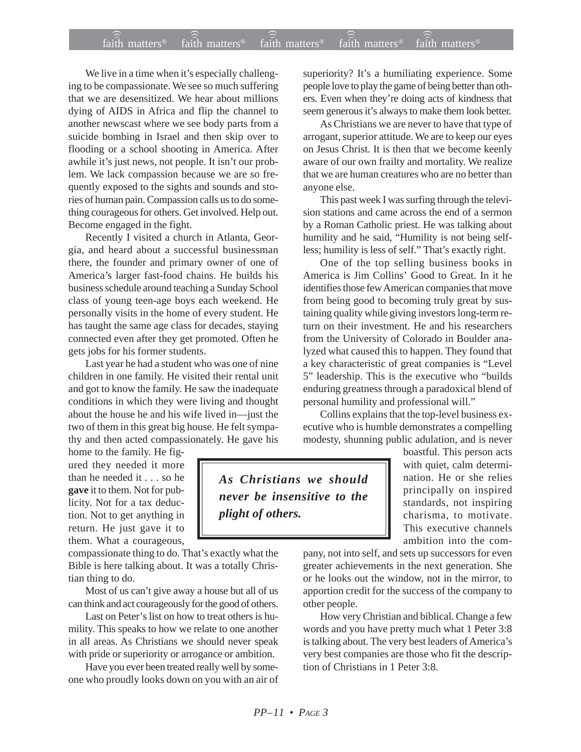## $f$ ai $\widehat{(\widehat{\widehat{\mathfrak{n}}})}$  matters®  $f$ ai $\widehat{\widehat{\mathfrak{m}}}$  matters®  $f$ aith matters®  $f$ aith matters® faith matters<sup>®</sup> ))) )))

We live in a time when it's especially challenging to be compassionate. We see so much suffering that we are desensitized. We hear about millions dying of AIDS in Africa and flip the channel to another newscast where we see body parts from a suicide bombing in Israel and then skip over to flooding or a school shooting in America. After awhile it's just news, not people. It isn't our problem. We lack compassion because we are so frequently exposed to the sights and sounds and stories of human pain. Compassion calls us to do something courageous for others. Get involved. Help out. Become engaged in the fight.

Recently I visited a church in Atlanta, Georgia, and heard about a successful businessman there, the founder and primary owner of one of America's larger fast-food chains. He builds his business schedule around teaching a Sunday School class of young teen-age boys each weekend. He personally visits in the home of every student. He has taught the same age class for decades, staying connected even after they get promoted. Often he gets jobs for his former students.

Last year he had a student who was one of nine children in one family. He visited their rental unit and got to know the family. He saw the inadequate conditions in which they were living and thought about the house he and his wife lived in—just the two of them in this great big house. He felt sympathy and then acted compassionately. He gave his

home to the family. He figured they needed it more than he needed it . . . so he **gave** it to them. Not for publicity. Not for a tax deduction. Not to get anything in return. He just gave it to them. What a courageous,

compassionate thing to do. That's exactly what the Bible is here talking about. It was a totally Christian thing to do.

Most of us can't give away a house but all of us can think and act courageously for the good of others.

Last on Peter's list on how to treat others is humility. This speaks to how we relate to one another in all areas. As Christians we should never speak with pride or superiority or arrogance or ambition.

Have you ever been treated really well by someone who proudly looks down on you with an air of superiority? It's a humiliating experience. Some people love to play the game of being better than others. Even when they're doing acts of kindness that seem generous it's always to make them look better.

As Christians we are never to have that type of arrogant, superior attitude. We are to keep our eyes on Jesus Christ. It is then that we become keenly aware of our own frailty and mortality. We realize that we are human creatures who are no better than anyone else.

This past week I was surfing through the television stations and came across the end of a sermon by a Roman Catholic priest. He was talking about humility and he said, "Humility is not being selfless; humility is less of self." That's exactly right.

One of the top selling business books in America is Jim Collins' Good to Great. In it he identifies those few American companies that move from being good to becoming truly great by sustaining quality while giving investors long-term return on their investment. He and his researchers from the University of Colorado in Boulder analyzed what caused this to happen. They found that a key characteristic of great companies is "Level 5" leadership. This is the executive who "builds enduring greatness through a paradoxical blend of personal humility and professional will."

Collins explains that the top-level business executive who is humble demonstrates a compelling modesty, shunning public adulation, and is never

*As Christians we should never be insensitive to the plight of others.*

boastful. This person acts with quiet, calm determination. He or she relies principally on inspired standards, not inspiring charisma, to motivate. This executive channels ambition into the com-

pany, not into self, and sets up successors for even greater achievements in the next generation. She or he looks out the window, not in the mirror, to apportion credit for the success of the company to other people.

How very Christian and biblical. Change a few words and you have pretty much what 1 Peter 3:8 is talking about. The very best leaders of America's very best companies are those who fit the description of Christians in 1 Peter 3:8.